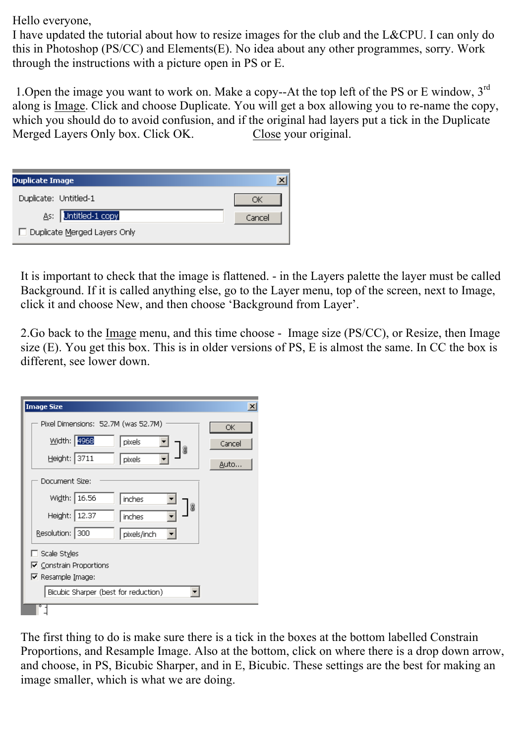Hello everyone,

I have updated the tutorial about how to resize images for the club and the L&CPU. I can only do this in Photoshop (PS/CC) and Elements(E). No idea about any other programmes, sorry. Work through the instructions with a picture open in PS or E.

1. Open the image you want to work on. Make a copy--At the top left of the PS or E window,  $3<sup>rd</sup>$ along is Image. Click and choose Duplicate. You will get a box allowing you to re-name the copy, which you should do to avoid confusion, and if the original had layers put a tick in the Duplicate<br>Merged Layers Only box. Click OK. Close your original. Merged Layers Only box. Click OK.

| <b>Duplicate Image</b>         |        |
|--------------------------------|--------|
| Duplicate: Untitled-1          | DК     |
| As: Untitled-1 copy            | Cancel |
| □ Duplicate Merged Layers Only |        |

It is important to check that the image is flattened. - in the Layers palette the layer must be called Background. If it is called anything else, go to the Layer menu, top of the screen, next to Image, click it and choose New, and then choose 'Background from Layer'.

2.Go back to the Image menu, and this time choose - Image size (PS/CC), or Resize, then Image size (E). You get this box. This is in older versions of PS, E is almost the same. In CC the box is different, see lower down.

| <b>Image Size</b>                    | $\vert x \vert$ |
|--------------------------------------|-----------------|
| Pixel Dimensions: 52.7M (was 52.7M)  | ОК              |
| Width: 4968<br>pixels<br>₩           | Cancel          |
| Height: 3711<br>pixels               | Auto            |
| Document Size:                       |                 |
| Width: 16.56<br>inches               |                 |
| ₩<br>Height: 12.37<br>inches         |                 |
| Resolution: 300<br>pixels/inch       |                 |
| $\Box$ Scale Styles                  |                 |
| ☑ Constrain Proportions              |                 |
| $\nabla$ Resample Image:             |                 |
| Bicubic Sharper (best for reduction) |                 |
|                                      |                 |

The first thing to do is make sure there is a tick in the boxes at the bottom labelled Constrain Proportions, and Resample Image. Also at the bottom, click on where there is a drop down arrow, and choose, in PS, Bicubic Sharper, and in E, Bicubic. These settings are the best for making an image smaller, which is what we are doing.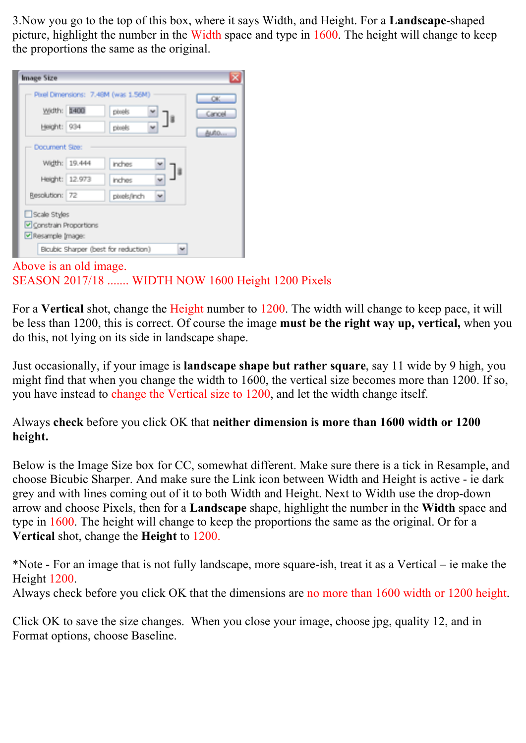3.Now you go to the top of this box, where it says Width, and Height. For a **Landscape**-shaped picture, highlight the number in the Width space and type in 1600. The height will change to keep the proportions the same as the original.

| Width: 1400    |                | pboeks           | Cancel |
|----------------|----------------|------------------|--------|
| Height: 934    |                | phoeks           | Auto   |
| Document Size: |                |                  |        |
|                | Width: 19.444  | inches           |        |
|                | Height: 12.973 | inches           |        |
| Resolution: 72 |                | v<br>pixels/inch |        |
| Scale Styles   |                |                  |        |

## Above is an old image. SEASON 2017/18 ....... WIDTH NOW 1600 Height 1200 Pixels

For a **Vertical** shot, change the Height number to 1200. The width will change to keep pace, it will be less than 1200, this is correct. Of course the image **must be the right way up, vertical,** when you do this, not lying on its side in landscape shape.

Just occasionally, if your image is **landscape shape but rather square**, say 11 wide by 9 high, you might find that when you change the width to 1600, the vertical size becomes more than 1200. If so, you have instead to change the Vertical size to 1200, and let the width change itself.

## Always **check** before you click OK that **neither dimension is more than 1600 width or 1200 height.**

Below is the Image Size box for CC, somewhat different. Make sure there is a tick in Resample, and choose Bicubic Sharper. And make sure the Link icon between Width and Height is active - ie dark grey and with lines coming out of it to both Width and Height. Next to Width use the drop-down arrow and choose Pixels, then for a **Landscape** shape, highlight the number in the **Width** space and type in 1600. The height will change to keep the proportions the same as the original. Or for a **Vertical** shot, change the **Height** to 1200.

\*Note - For an image that is not fully landscape, more square-ish, treat it as a Vertical – ie make the Height 1200.

Always check before you click OK that the dimensions are no more than 1600 width or 1200 height.

Click OK to save the size changes. When you close your image, choose jpg, quality 12, and in Format options, choose Baseline.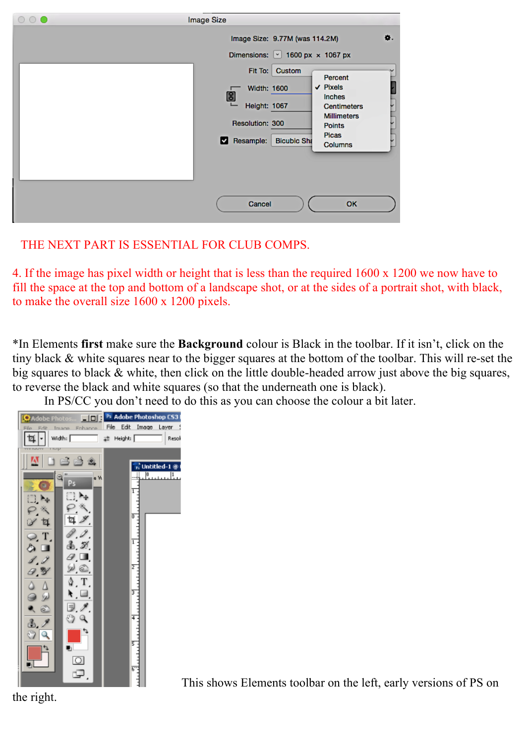| $\circ \circ \bullet$ | Image Size                                                                                                                                                                                                                                                                                                                                                                               |    |
|-----------------------|------------------------------------------------------------------------------------------------------------------------------------------------------------------------------------------------------------------------------------------------------------------------------------------------------------------------------------------------------------------------------------------|----|
|                       | Image Size: 9.77M (was 114.2M)<br>Dimensions: $\boxed{\check{ }}$ 1600 px $\times$ 1067 px<br>Fit To:<br>Custom<br>Percent<br>$\vee$ Pixels<br><b>Width: 1600</b><br>$\bm{\mathbb{B}}$<br>Inches<br><b>Height: 1067</b><br><b>Centimeters</b><br><b>Millimeters</b><br><b>Resolution: 300</b><br><b>Points</b><br><b>Picas</b><br>Resample:<br><b>Bicubic Sha</b><br>⊠<br><b>Columns</b> | ۰. |
|                       | Cancel<br>OK                                                                                                                                                                                                                                                                                                                                                                             |    |

## THE NEXT PART IS ESSENTIAL FOR CLUB COMPS.

4. If the image has pixel width or height that is less than the required 1600 x 1200 we now have to fill the space at the top and bottom of a landscape shot, or at the sides of a portrait shot, with black, to make the overall size 1600 x 1200 pixels.

\*In Elements **first** make sure the **Background** colour is Black in the toolbar. If it isn't, click on the tiny black & white squares near to the bigger squares at the bottom of the toolbar. This will re-set the big squares to black & white, then click on the little double-headed arrow just above the big squares, to reverse the black and white squares (so that the underneath one is black).

In PS/CC you don't need to do this as you can choose the colour a bit later.



This shows Elements toolbar on the left, early versions of PS on

the right.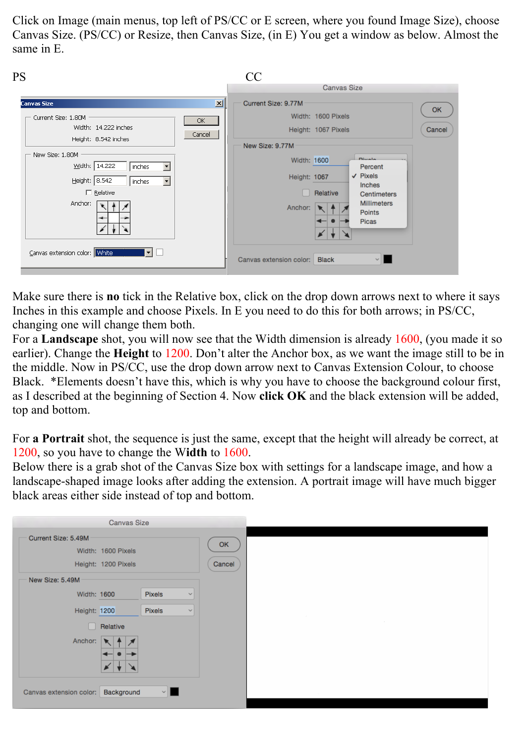Click on Image (main menus, top left of PS/CC or E screen, where you found Image Size), choose Canvas Size. (PS/CC) or Resize, then Canvas Size, (in E) You get a window as below. Almost the same in E.

| PS                                                                                                                                                                                                                                                                               | CC                                                                                                                                                                                                                                                                                                       |
|----------------------------------------------------------------------------------------------------------------------------------------------------------------------------------------------------------------------------------------------------------------------------------|----------------------------------------------------------------------------------------------------------------------------------------------------------------------------------------------------------------------------------------------------------------------------------------------------------|
|                                                                                                                                                                                                                                                                                  | <b>Canvas Size</b>                                                                                                                                                                                                                                                                                       |
| <b>Canvas Size</b><br>Current Size: 1.80M<br>OK.<br>Width: 14.222 inches<br>Cancel<br>Height: 8.542 inches<br>New Size: 1.80M<br>Width: 14.222<br>$\overline{\phantom{a}}$<br>inches<br>Height: 8.542<br>  inches<br>$\Box$ Relative<br>Anchor:<br>Canvas extension color: White | 페<br>Current Size: 9.77M<br>OK<br>Width: 1600 Pixels<br>Height: 1067 Pixels<br>Cancel<br>New Size: 9.77M<br>Dissala<br>Width: 1600<br>Percent<br>$\vee$ Pixels<br>Height: 1067<br>Inches<br>Relative<br>Centimeters<br><b>Millimeters</b><br>Anchor:<br>Points<br>Picas<br>Canvas extension color: Black |

Make sure there is **no** tick in the Relative box, click on the drop down arrows next to where it says Inches in this example and choose Pixels. In E you need to do this for both arrows; in PS/CC, changing one will change them both.

For a **Landscape** shot, you will now see that the Width dimension is already 1600, (you made it so earlier). Change the **Height** to 1200. Don't alter the Anchor box, as we want the image still to be in the middle. Now in PS/CC, use the drop down arrow next to Canvas Extension Colour, to choose Black. \*Elements doesn't have this, which is why you have to choose the background colour first, as I described at the beginning of Section 4. Now **click OK** and the black extension will be added, top and bottom.

For **a Portrait** shot, the sequence is just the same, except that the height will already be correct, at 1200, so you have to change the W**idth** to 1600.

Below there is a grab shot of the Canvas Size box with settings for a landscape image, and how a landscape-shaped image looks after adding the extension. A portrait image will have much bigger black areas either side instead of top and bottom.

|                         | Canvas Size                               |        |              |              |
|-------------------------|-------------------------------------------|--------|--------------|--------------|
| Current Size: 5.49M     | Width: 1600 Pixels<br>Height: 1200 Pixels |        |              | OK<br>Cancel |
| New Size: 5.49M         |                                           |        |              |              |
| Width: 1600             |                                           | Pixels | $\sim$       |              |
| <b>Height: 1200</b>     |                                           | Pixels | $\checkmark$ |              |
|                         | Relative                                  |        |              |              |
| Anchor:                 |                                           |        |              |              |
|                         |                                           |        |              |              |
| Canvas extension color: | Background                                | $\vee$ |              |              |